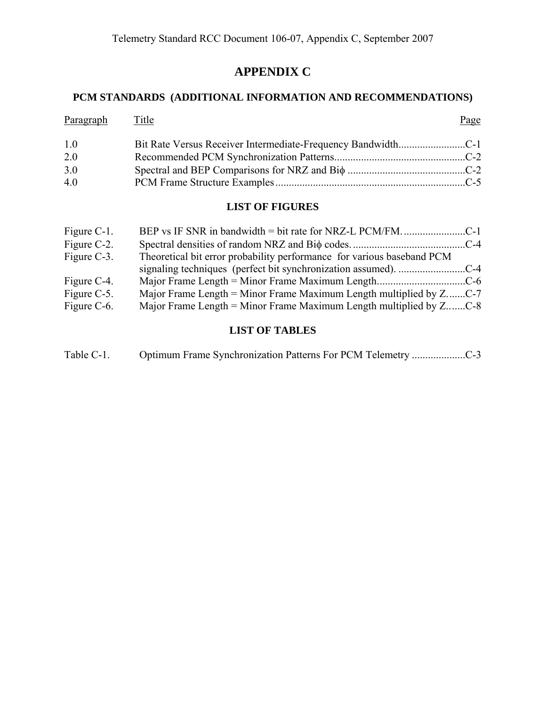# **APPENDIX C**

# <span id="page-0-0"></span>**PCM STANDARDS (ADDITIONAL INFORMATION AND RECOMMENDATIONS)**

| Paragraph | Title | Page |
|-----------|-------|------|
| 1.0       |       |      |
| 2.0       |       |      |
| 3.0       |       |      |
| 4.0       |       |      |

# **LIST OF FIGURES**

| Figure C-1. |                                                                          |  |
|-------------|--------------------------------------------------------------------------|--|
| Figure C-2. |                                                                          |  |
| Figure C-3. | Theoretical bit error probability performance for various baseband PCM   |  |
|             |                                                                          |  |
| Figure C-4. |                                                                          |  |
| Figure C-5. | Major Frame Length = Minor Frame Maximum Length multiplied by $Z$ $C$ -7 |  |
| Figure C-6. | Major Frame Length = Minor Frame Maximum Length multiplied by $Z$ $C$ -8 |  |

# **LIST OF TABLES**

| Table C-1. |  |
|------------|--|
|------------|--|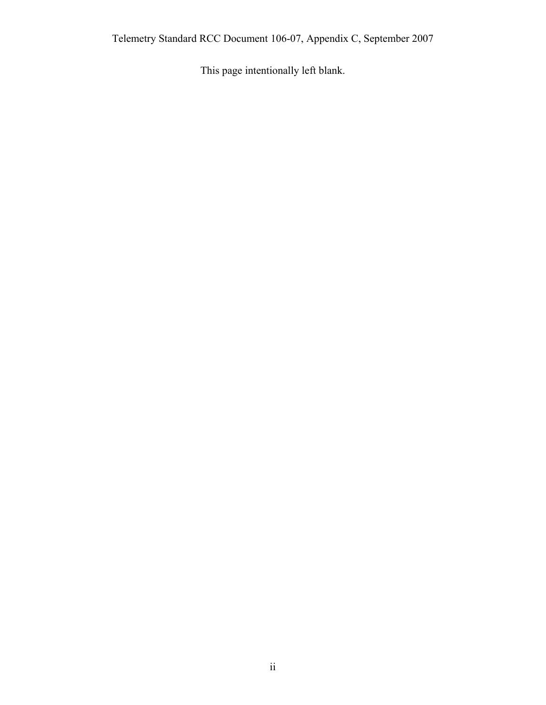This page intentionally left blank.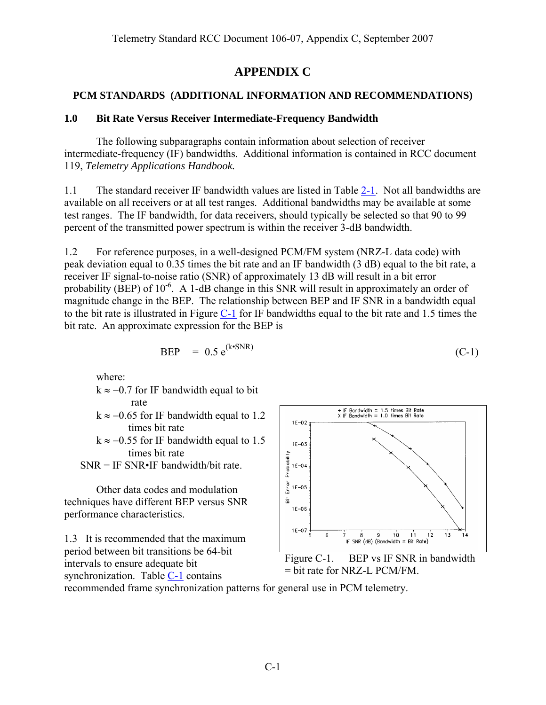**APPENDIX C** 

# <span id="page-2-0"></span>**PCM STANDARDS (ADDITIONAL INFORMATION AND RECOMMENDATIONS)**

#### **1.0 Bit Rate Versus Receiver Intermediate-Frequency Bandwidth**

 The following subparagraphs contain information about selection of receiver intermediate-frequency (IF) bandwidths. Additional information is contained in RCC document 119, *Telemetry Applications Handbook.* 

1.1 The standard receiver IF bandwidth values are listed in Table [2-1](#page-0-0). Not all bandwidths are available on all receivers or at all test ranges. Additional bandwidths may be available at some test ranges. The IF bandwidth, for data receivers, should typically be selected so that 90 to 99 percent of the transmitted power spectrum is within the receiver 3-dB bandwidth.

1.2 For reference purposes, in a well-designed PCM/FM system (NRZ-L data code) with peak deviation equal to 0.35 times the bit rate and an IF bandwidth (3 dB) equal to the bit rate, a receiver IF signal-to-noise ratio (SNR) of approximately 13 dB will result in a bit error probability (BEP) of  $10^{-6}$ . A 1-dB change in this SNR will result in approximately an order of magnitude change in the BEP. The relationship between BEP and IF SNR in a bandwidth equal to the bit rate is illustrated in Figure [C-1](#page-2-0) for IF bandwidths equal to the bit rate and 1.5 times the bit rate. An approximate expression for the BEP is

$$
BEP = 0.5 e^{(k \cdot SNR)} \tag{C-1}
$$

where:

 $k \approx -0.7$  for IF bandwidth equal to bit rate  $k \approx -0.65$  for IF bandwidth equal to 1.2 times bit rate  $k \approx -0.55$  for IF bandwidth equal to 1.5 times bit rate  $SNR = IF SNR \cdot IF bandwidth/b$  at rate.

 Other data codes and modulation techniques have different BEP versus SNR performance characteristics.

1.3 It is recommended that the maximum period between bit transitions be 64-bit intervals to ensure adequate bit synchronization. Table [C-1](#page-4-0) contains



Figure C-1. BEP vs IF SNR in bandwidth = bit rate for NRZ-L PCM/FM.

recommended frame synchronization patterns for general use in PCM telemetry.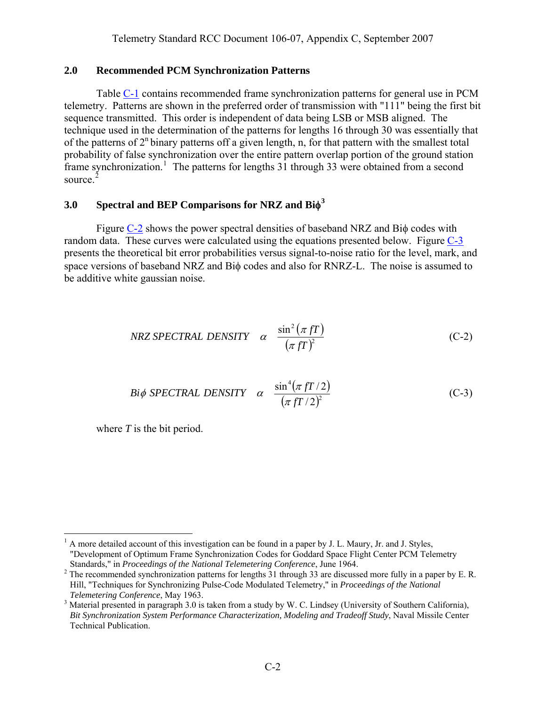#### <span id="page-3-0"></span>**2.0 Recommended PCM Synchronization Patterns**

 Table [C-1](#page-4-0) contains recommended frame synchronization patterns for general use in PCM telemetry. Patterns are shown in the preferred order of transmission with "111" being the first bit sequence transmitted. This order is independent of data being LSB or MSB aligned. The technique used in the determination of the patterns for lengths 16 through 30 was essentially that of the patterns of  $2^n$  binary patterns off a given length, n, for that pattern with the smallest total probability of false synchronization over the entire pattern overlap portion of the ground station frame synchronization.<sup>[1](#page-3-1)</sup> The patterns for lengths  $31$  through  $33$  were obtained from a second source. $2$ 

#### **3.0 Spectral and BEP Comparisons for NRZ and Bi**φ**[3](#page-3-3)**

 Figure [C-2](#page-5-0) shows the power spectral densities of baseband NRZ and Biφ codes with random data. These curves were calculated using the equations presented below. Figure [C-3](#page-5-0) presents the theoretical bit error probabilities versus signal-to-noise ratio for the level, mark, and space versions of baseband NRZ and Biφ codes and also for RNRZ-L. The noise is assumed to be additive white gaussian noise.

$$
N R Z \, S P E C T R A L \, D E N S I T Y \quad \alpha \quad \frac{\sin^2(\pi f)}{(\pi f) \, \Gamma^2} \tag{C-2}
$$

$$
Bi\phi \text{ } SPECTRAL \text{ } DENSITY \quad \alpha \quad \frac{\sin^4(\pi f T/2)}{(\pi f T/2)^2} \tag{C-3}
$$

where *T* is the bit period.

<span id="page-3-1"></span> $\overline{a}$ 1 A more detailed account of this investigation can be found in a paper by J. L. Maury, Jr. and J. Styles, "Development of Optimum Frame Synchronization Codes for Goddard Space Flight Center PCM Telemetry

<span id="page-3-2"></span>Standards," in *Proceedings of the National Telemetering Conference*, June 1964.<br><sup>2</sup> The recommended synchronization patterns for lengths 31 through 33 are discussed more fully in a paper by E. R. Hill, "Techniques for Synchronizing Pulse-Code Modulated Telemetry," in *Proceedings of the National Telemetering Conference*, May 1963.

<span id="page-3-3"></span><sup>&</sup>lt;sup>3</sup> Material presented in paragraph 3.0 is taken from a study by W. C. Lindsey (University of Southern California), *Bit Synchronization System Performance Characterization, Modeling and Tradeoff Study*, Naval Missile Center Technical Publication.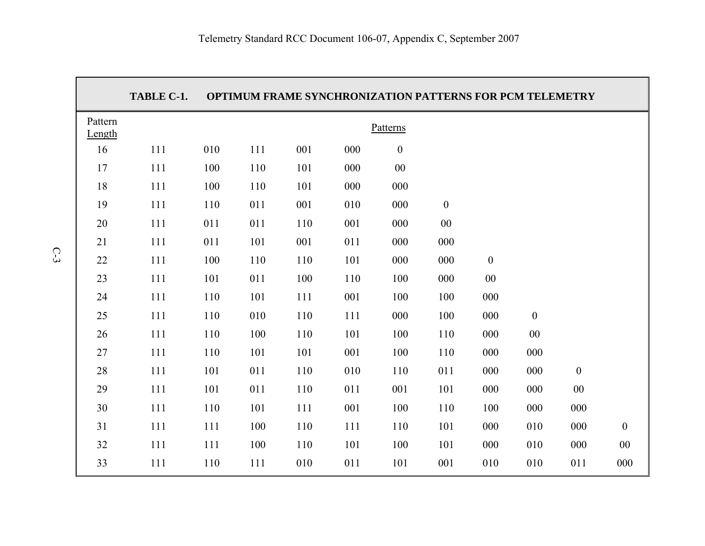<span id="page-4-0"></span>

|                   | TABLE C-1. |     | <b>OPTIMUM FRAME SYNCHRONIZATION PATTERNS FOR PCM TELEMETRY</b> |     |     |                  |                  |                  |                  |                  |                  |
|-------------------|------------|-----|-----------------------------------------------------------------|-----|-----|------------------|------------------|------------------|------------------|------------------|------------------|
| Pattern<br>Length |            |     |                                                                 |     |     | Patterns         |                  |                  |                  |                  |                  |
| 16                | 111        | 010 | 111                                                             | 001 | 000 | $\boldsymbol{0}$ |                  |                  |                  |                  |                  |
| 17                | 111        | 100 | 110                                                             | 101 | 000 | 00               |                  |                  |                  |                  |                  |
| 18                | 111        | 100 | 110                                                             | 101 | 000 | 000              |                  |                  |                  |                  |                  |
| 19                | 111        | 110 | 011                                                             | 001 | 010 | 000              | $\boldsymbol{0}$ |                  |                  |                  |                  |
| 20                | 111        | 011 | 011                                                             | 110 | 001 | 000              | 00               |                  |                  |                  |                  |
| 21                | 111        | 011 | 101                                                             | 001 | 011 | 000              | 000              |                  |                  |                  |                  |
| 22                | 111        | 100 | 110                                                             | 110 | 101 | 000              | 000              | $\boldsymbol{0}$ |                  |                  |                  |
| 23                | 111        | 101 | 011                                                             | 100 | 110 | 100              | 000              | $00\,$           |                  |                  |                  |
| 24                | 111        | 110 | 101                                                             | 111 | 001 | 100              | 100              | 000              |                  |                  |                  |
| 25                | 111        | 110 | 010                                                             | 110 | 111 | 000              | 100              | 000              | $\boldsymbol{0}$ |                  |                  |
| 26                | 111        | 110 | 100                                                             | 110 | 101 | 100              | 110              | 000              | 00               |                  |                  |
| 27                | 111        | 110 | 101                                                             | 101 | 001 | 100              | 110              | 000              | 000              |                  |                  |
| $28\,$            | 111        | 101 | 011                                                             | 110 | 010 | 110              | 011              | 000              | 000              | $\boldsymbol{0}$ |                  |
| 29                | 111        | 101 | 011                                                             | 110 | 011 | 001              | 101              | 000              | 000              | 00               |                  |
| 30                | 111        | 110 | 101                                                             | 111 | 001 | 100              | 110              | 100              | 000              | 000              |                  |
| 31                | 111        | 111 | 100                                                             | 110 | 111 | 110              | 101              | 000              | 010              | 000              | $\boldsymbol{0}$ |
| 32                | 111        | 111 | 100                                                             | 110 | 101 | 100              | 101              | 000              | 010              | 000              | $00\,$           |
| 33                | 111        | 110 | 111                                                             | 010 | 011 | 101              | 001              | 010              | 010              | 011              | 000              |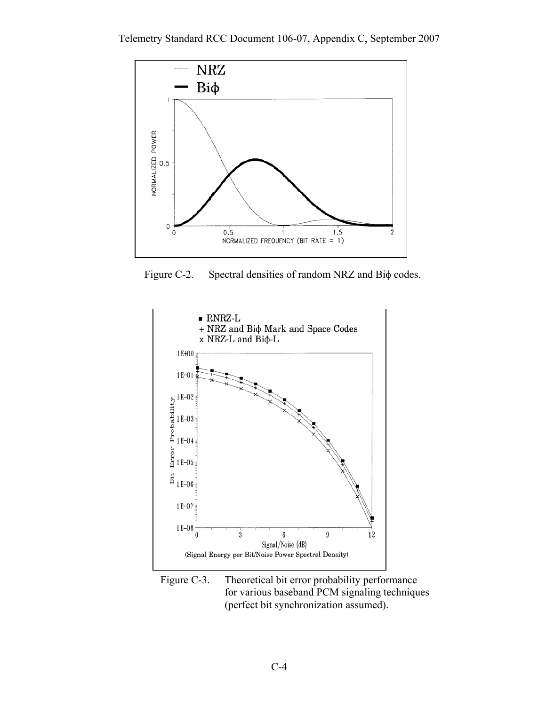<span id="page-5-0"></span>

Figure C-2. Spectral densities of random NRZ and Biφ codes.



 Figure C-3. Theoretical bit error probability performance for various baseband PCM signaling techniques (perfect bit synchronization assumed).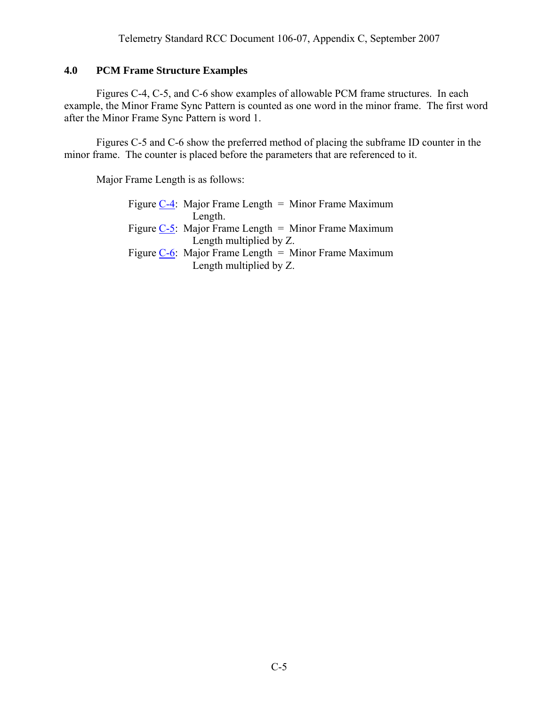#### <span id="page-6-0"></span>**4.0 PCM Frame Structure Examples**

 Figures C-4, C-5, and C-6 show examples of allowable PCM frame structures. In each example, the Minor Frame Sync Pattern is counted as one word in the minor frame. The first word after the Minor Frame Sync Pattern is word 1.

 Figures C-5 and C-6 show the preferred method of placing the subframe ID counter in the minor frame. The counter is placed before the parameters that are referenced to it.

Major Frame Length is as follows:

| Figure $C-4$ : Major Frame Length = Minor Frame Maximum |
|---------------------------------------------------------|
| Length.                                                 |
| Figure $C-5$ : Major Frame Length = Minor Frame Maximum |
| Length multiplied by Z.                                 |
| Figure $C-6$ : Major Frame Length = Minor Frame Maximum |
| Length multiplied by Z.                                 |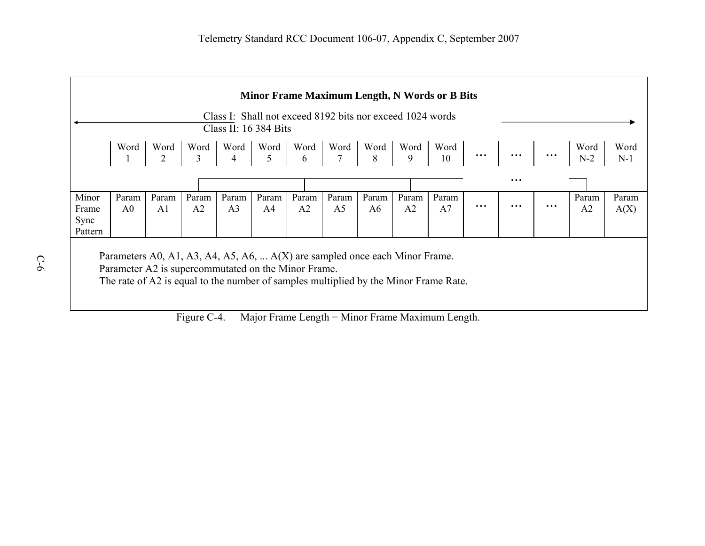|                                                                                                                                                                                                                            | Minor Frame Maximum Length, N Words or B Bits                                         |                         |             |                         |             |             |                         |             |             |                                                              |  |  |                         |               |
|----------------------------------------------------------------------------------------------------------------------------------------------------------------------------------------------------------------------------|---------------------------------------------------------------------------------------|-------------------------|-------------|-------------------------|-------------|-------------|-------------------------|-------------|-------------|--------------------------------------------------------------|--|--|-------------------------|---------------|
|                                                                                                                                                                                                                            | Class I: Shall not exceed 8192 bits nor exceed 1024 words<br>Class II: $16\,384$ Bits |                         |             |                         |             |             |                         |             |             |                                                              |  |  |                         |               |
|                                                                                                                                                                                                                            | Word                                                                                  | Word                    |             |                         |             |             |                         |             |             | Word   Word   Word   Word   Word   Word   Word   Word   Word |  |  | Word<br>N-2             | Word<br>N-1   |
|                                                                                                                                                                                                                            |                                                                                       |                         |             |                         |             |             |                         |             |             |                                                              |  |  |                         |               |
| Minor<br>Frame<br>Sync<br>Pattern                                                                                                                                                                                          | Param<br>A <sub>0</sub>                                                               | Param<br>A <sub>1</sub> | Param<br>A2 | Param<br>A <sub>3</sub> | Param<br>A4 | Param<br>A2 | Param<br>A <sub>5</sub> | Param<br>A6 | Param<br>A2 | Param<br>A7                                                  |  |  | Param<br>A <sub>2</sub> | Param<br>A(X) |
| Parameters A0, A1, A3, A4, A5, A6,  A(X) are sampled once each Minor Frame.<br>Parameter A2 is supercommutated on the Minor Frame.<br>The rate of A2 is equal to the number of samples multiplied by the Minor Frame Rate. |                                                                                       |                         |             |                         |             |             |                         |             |             |                                                              |  |  |                         |               |

<span id="page-7-0"></span>Figure C-4. Major Frame Length = Minor Frame Maximum Length.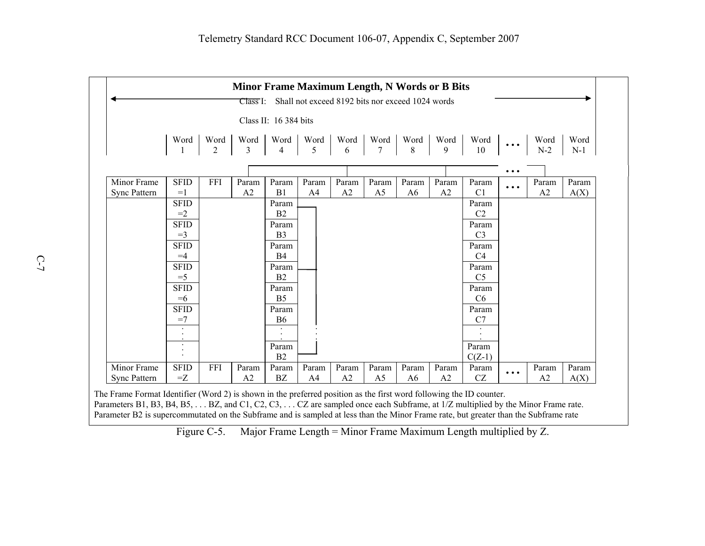|                                                           |                     |                      |                        | Minor Frame Maximum Length, N Words or B Bits |                             |                |           |                        |                |                          |                            |                                                                             |               |               |
|-----------------------------------------------------------|---------------------|----------------------|------------------------|-----------------------------------------------|-----------------------------|----------------|-----------|------------------------|----------------|--------------------------|----------------------------|-----------------------------------------------------------------------------|---------------|---------------|
| Class I: Shall not exceed 8192 bits nor exceed 1024 words |                     |                      |                        |                                               |                             |                |           |                        |                |                          |                            |                                                                             |               |               |
| Class II: 16 384 bits                                     |                     |                      |                        |                                               |                             |                |           |                        |                |                          |                            |                                                                             |               |               |
|                                                           |                     | Word                 | Word<br>$\overline{2}$ | $\mathfrak{Z}$                                | Word Word<br>$\overline{4}$ | Word<br>5      | Word<br>6 | Word<br>$\overline{7}$ | Word  <br>8    | Word<br>$\boldsymbol{9}$ | Word  <br>10               | $\bullet\ \bullet\ \bullet$                                                 | Word<br>$N-2$ | Word<br>$N-1$ |
|                                                           |                     |                      |                        |                                               |                             |                |           |                        |                |                          |                            | $\bullet\hspace{0.1cm} \bullet\hspace{0.1cm} \bullet\hspace{0.1cm} \bullet$ |               |               |
|                                                           | Minor Frame         | <b>SFID</b>          | FFI                    | Param                                         | Param                       | Param          | Param     | Param                  | Param          | Param                    | Param                      | $\bullet\bullet\bullet$                                                     | Param         | Param         |
|                                                           | <b>Sync Pattern</b> | $=1$                 |                        | A2                                            | B1                          | A <sub>4</sub> | A2        | A <sub>5</sub>         | A <sub>6</sub> | A2                       | C1                         |                                                                             | A2            | A(X)          |
|                                                           |                     | <b>SFID</b><br>$=2$  |                        |                                               | Param<br>B2                 |                |           |                        |                |                          | Param<br>C2                |                                                                             |               |               |
|                                                           |                     | <b>SFID</b>          |                        |                                               | Param                       |                |           |                        |                |                          | Param                      |                                                                             |               |               |
|                                                           |                     | $=$ 3                |                        |                                               | B <sub>3</sub>              |                |           |                        |                |                          | C <sub>3</sub>             |                                                                             |               |               |
|                                                           |                     | <b>SFID</b>          |                        |                                               | Param                       |                |           |                        |                |                          | Param                      |                                                                             |               |               |
|                                                           |                     | $=4$                 |                        |                                               | <b>B4</b>                   |                |           |                        |                |                          | C4                         |                                                                             |               |               |
|                                                           |                     | <b>SFID</b>          |                        |                                               | Param                       |                |           |                        |                |                          | Param                      |                                                                             |               |               |
|                                                           |                     | $=5$                 |                        |                                               | B2                          |                |           |                        |                |                          | C <sub>5</sub>             |                                                                             |               |               |
|                                                           |                     | <b>SFID</b>          |                        |                                               | Param                       |                |           |                        |                |                          | Param                      |                                                                             |               |               |
|                                                           |                     | $=6$                 |                        |                                               | B <sub>5</sub>              |                |           |                        |                |                          | C <sub>6</sub>             |                                                                             |               |               |
|                                                           |                     | <b>SFID</b>          |                        |                                               | Param                       |                |           |                        |                |                          | Param                      |                                                                             |               |               |
|                                                           |                     | $=7$                 |                        |                                               | <b>B6</b>                   |                |           |                        |                |                          | C7<br>$\ddot{\phantom{0}}$ |                                                                             |               |               |
|                                                           |                     | $\cdot$              |                        |                                               |                             |                |           |                        |                |                          |                            |                                                                             |               |               |
|                                                           |                     | $\bullet$<br>$\cdot$ |                        |                                               | Param                       |                |           |                        |                |                          | Param                      |                                                                             |               |               |
|                                                           |                     | $\bullet$            |                        |                                               | B2                          |                |           |                        |                |                          | $C(Z-1)$                   |                                                                             |               |               |
|                                                           | Minor Frame         | <b>SFID</b>          | <b>FFI</b>             | Param                                         | Param                       | Param          | Param     | Param                  | Param          | Param                    | Param                      | $\bullet\bullet\bullet$                                                     | Param         | Param         |
|                                                           | <b>Sync Pattern</b> | $=Z$                 |                        | A <sub>2</sub>                                | BZ                          | A <sub>4</sub> | A2        | A <sub>5</sub>         | A6             | A2                       | <b>CZ</b>                  |                                                                             | A2            | A(X)          |

The Frame Format Identifier (Word 2) is shown in the preferred position as the first word following the ID counter. Parameters B1, B3, B4, B5, . . . BZ, and C1, C2, C3, . . . CZ are sampled once each Subframe, at 1/Z multiplied by the Minor Frame rate. Parameter B2 is supercommutated on the Subframe and is sampled at less than the Minor Frame rate, but greater than the Subframe rate

<span id="page-8-0"></span>Figure C-5. Major Frame Length = Minor Frame Maximum Length multiplied by Z.